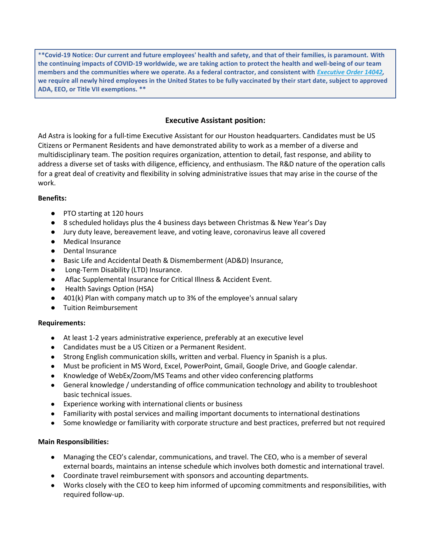\***\*Covid-19 Notice: Our current and future employees' health and safety, and that of their families, is paramount. With the continuing impacts of COVID-19 worldwide, we are taking action to protect the health and well-being of our team members and the communities where we operate. As a federal contractor, and consistent with** *[Executive Order 14042,](https://www.saferfederalworkforce.gov/contractors/)* **we require all newly hired employees in the United States to be fully vaccinated by their start date, subject to approved ADA, EEO, or Title VII exemptions. \*\***

# **Executive Assistant position:**

Ad Astra is looking for a full-time Executive Assistant for our Houston headquarters. Candidates must be US Citizens or Permanent Residents and have demonstrated ability to work as a member of a diverse and multidisciplinary team. The position requires organization, attention to detail, fast response, and ability to address a diverse set of tasks with diligence, efficiency, and enthusiasm. The R&D nature of the operation calls for a great deal of creativity and flexibility in solving administrative issues that may arise in the course of the work.

## **Benefits:**

- PTO starting at 120 hours
- 8 scheduled holidays plus the 4 business days between Christmas & New Year's Day
- Jury duty leave, bereavement leave, and voting leave, coronavirus leave all covered
- Medical Insurance
- Dental Insurance
- Basic Life and Accidental Death & Dismemberment (AD&D) Insurance,
- Long-Term Disability (LTD) Insurance.
- Aflac Supplemental Insurance for Critical Illness & Accident Event.
- Health Savings Option (HSA)
- 401(k) Plan with company match up to 3% of the employee's annual salary
- Tuition Reimbursement

## **Requirements:**

- At least 1-2 years administrative experience, preferably at an executive level
- Candidates must be a US Citizen or a Permanent Resident.
- Strong English communication skills, written and verbal. Fluency in Spanish is a plus.
- Must be proficient in MS Word, Excel, PowerPoint, Gmail, Google Drive, and Google calendar.
- Knowledge of WebEx/Zoom/MS Teams and other video conferencing platforms
- General knowledge / understanding of office communication technology and ability to troubleshoot basic technical issues.
- Experience working with international clients or business
- Familiarity with postal services and mailing important documents to international destinations
- Some knowledge or familiarity with corporate structure and best practices, preferred but not required

## **Main Responsibilities:**

- Managing the CEO's calendar, communications, and travel. The CEO, who is a member of several external boards, maintains an intense schedule which involves both domestic and international travel.
- Coordinate travel reimbursement with sponsors and accounting departments.
- Works closely with the CEO to keep him informed of upcoming commitments and responsibilities, with required follow-up.